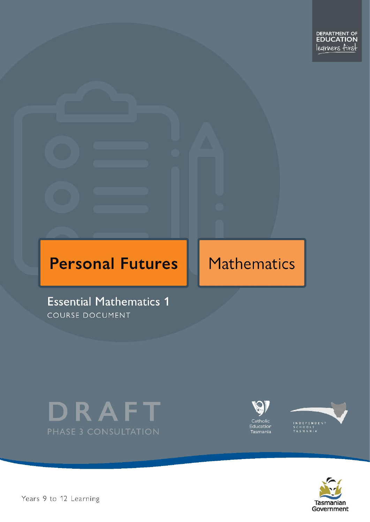# **Personal Futures**

# **Mathematics**

**Essential Mathematics 1** COURSE DOCUMENT







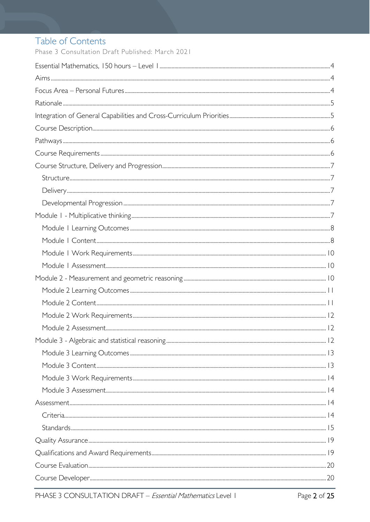# Table of Contents

Phase 3 Consultation Draft Published: March 2021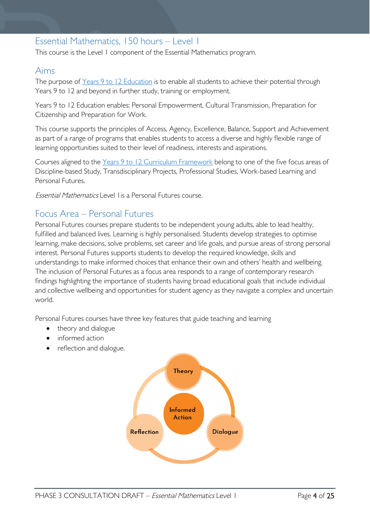### <span id="page-3-0"></span>Essential Mathematics, 150 hours – Level 1

This course is the Level 1 component of the Essential Mathematics program.

### <span id="page-3-1"></span>Aims

The purpose of Years 9 to 12 [Education](https://publicdocumentcentre.education.tas.gov.au/library/Shared%20Documents/Years-9-to-12-Education-Framework.pdf) is to enable all students to achieve their potential through Years 9 to 12 and beyond in further study, training or employment.

Years 9 to 12 Education enables: Personal Empowerment, Cultural Transmission, Preparation for Citizenship and Preparation for Work.

This course supports the principles of Access, Agency, Excellence, Balance, Support and Achievement as part of a range of programs that enables students to access a diverse and highly flexible range of learning opportunities suited to their level of readiness, interests and aspirations.

Courses aligned to the Years 9 to 12 Curriculum [Framework](https://publicdocumentcentre.education.tas.gov.au/library/Shared%20Documents/Education%209-12%20Frameworks%20A3%20WEB%20POSTER.pdf) belong to one of the five focus areas of Discipline-based Study, Transdisciplinary Projects, Professional Studies, Work-based Learning and Personal Futures.

Essential Mathematics Level 1is a Personal Futures course.

### <span id="page-3-2"></span>Focus Area – Personal Futures

Personal Futures courses prepare students to be independent young adults, able to lead healthy, fulfilled and balanced lives. Learning is highly personalised. Students develop strategies to optimise learning, make decisions, solve problems, set career and life goals, and pursue areas of strong personal interest. Personal Futures supports students to develop the required knowledge, skills and understandings to make informed choices that enhance their own and others' health and wellbeing. The inclusion of Personal Futures as a focus area responds to a range of contemporary research findings highlighting the importance of students having broad educational goals that include individual and collective wellbeing and opportunities for student agency as they navigate a complex and uncertain world.

Personal Futures courses have three key features that guide teaching and learning

- theory and dialogue
- informed action
- reflection and dialogue.

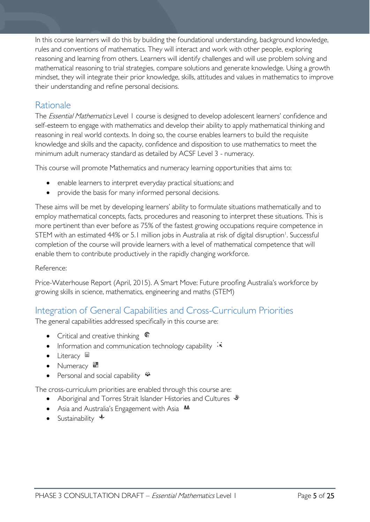In this course learners will do this by building the foundational understanding, background knowledge, rules and conventions of mathematics. They will interact and work with other people, exploring reasoning and learning from others. Learners will identify challenges and will use problem solving and mathematical reasoning to trial strategies, compare solutions and generate knowledge. Using a growth mindset, they will integrate their prior knowledge, skills, attitudes and values in mathematics to improve their understanding and refine personal decisions.

### <span id="page-4-0"></span>Rationale

The Essential Mathematics Level 1 course is designed to develop adolescent learners' confidence and self-esteem to engage with mathematics and develop their ability to apply mathematical thinking and reasoning in real world contexts. In doing so, the course enables learners to build the requisite knowledge and skills and the capacity, confidence and disposition to use mathematics to meet the minimum adult numeracy standard as detailed by ACSF Level 3 - numeracy.

This course will promote Mathematics and numeracy learning opportunities that aims to:

- enable learners to interpret everyday practical situations; and
- provide the basis for many informed personal decisions.

These aims will be met by developing learners' ability to formulate situations mathematically and to employ mathematical concepts, facts, procedures and reasoning to interpret these situations. This is more pertinent than ever before as 75% of the fastest growing occupations require competence in STEM with an estimated 44% or 5.1 million jobs in Australia at risk of digital disruption<sup>1</sup>. Successful completion of the course will provide learners with a level of mathematical competence that will enable them to contribute productively in the rapidly changing workforce.

#### Reference:

Price-Waterhouse Report (April, 2015). A Smart Move: Future proofing Australia's workforce by growing skills in science, mathematics, engineering and maths (STEM)

### <span id="page-4-1"></span>Integration of General Capabilities and Cross-Curriculum Priorities

The general capabilities addressed specifically in this course are:

- Critical and creative thinking  $\mathbb{C}$
- Information and communication technology capability  $\cdot\cdot\cdot$
- Literacy
- Numeracy
- Personal and social capability  $\ddot{\bullet}$

The cross-curriculum priorities are enabled through this course are:

- Aboriginal and Torres Strait Islander Histories and Cultures  $\mathcal$
- Asia and Australia's Engagement with Asia **AA**
- Sustainability  $\triangleleft$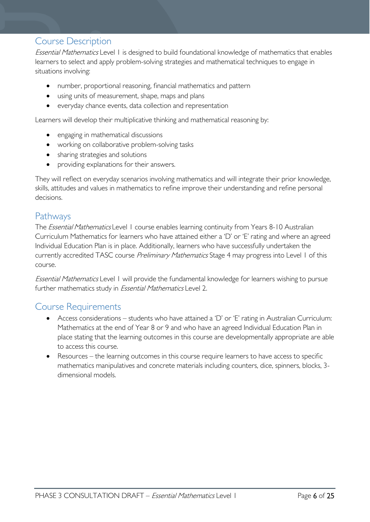### <span id="page-5-0"></span>Course Description

Essential Mathematics Level 1 is designed to build foundational knowledge of mathematics that enables learners to select and apply problem-solving strategies and mathematical techniques to engage in situations involving:

- number, proportional reasoning, financial mathematics and pattern
- using units of measurement, shape, maps and plans
- everyday chance events, data collection and representation

Learners will develop their multiplicative thinking and mathematical reasoning by:

- engaging in mathematical discussions
- working on collaborative problem-solving tasks
- sharing strategies and solutions
- providing explanations for their answers.

They will reflect on everyday scenarios involving mathematics and will integrate their prior knowledge, skills, attitudes and values in mathematics to refine improve their understanding and refine personal decisions.

### <span id="page-5-1"></span>Pathways

The *Essential Mathematics* Level 1 course enables learning continuity from Years 8-10 Australian Curriculum Mathematics for learners who have attained either a 'D' or 'E' rating and where an agreed Individual Education Plan is in place. Additionally, learners who have successfully undertaken the currently accredited TASC course Preliminary Mathematics Stage 4 may progress into Level 1 of this course.

Essential Mathematics Level 1 will provide the fundamental knowledge for learners wishing to pursue further mathematics study in *Essential Mathematics* Level 2.

### <span id="page-5-2"></span>Course Requirements

- Access considerations students who have attained a 'D' or 'E' rating in Australian Curriculum: Mathematics at the end of Year 8 or 9 and who have an agreed Individual Education Plan in place stating that the learning outcomes in this course are developmentally appropriate are able to access this course.
- Resources the learning outcomes in this course require learners to have access to specific mathematics manipulatives and concrete materials including counters, dice, spinners, blocks, 3 dimensional models.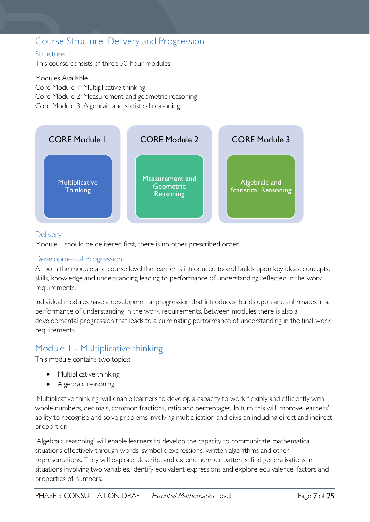### <span id="page-6-0"></span>Course Structure, Delivery and Progression

#### <span id="page-6-1"></span>**Structure**

This course consists of three 50-hour modules.

Modules Available Core Module 1: Multiplicative thinking Core Module 2: Measurement and geometric reasoning Core Module 3: Algebraic and statistical reasoning



#### <span id="page-6-2"></span>**Delivery**

Module 1 should be delivered first, there is no other prescribed order

#### <span id="page-6-3"></span>Developmental Progression

At both the module and course level the learner is introduced to and builds upon key ideas, concepts, skills, knowledge and understanding leading to performance of understanding reflected in the work requirements.

Individual modules have a developmental progression that introduces, builds upon and culminates in a performance of understanding in the work requirements. Between modules there is also a developmental progression that leads to a culminating performance of understanding in the final work requirements.

### <span id="page-6-4"></span>Module 1 - Multiplicative thinking

This module contains two topics:

- Multiplicative thinking
- Algebraic reasoning

'Multiplicative thinking' will enable learners to develop a capacity to work flexibly and efficiently with whole numbers, decimals, common fractions, ratio and percentages. In turn this will improve learners' ability to recognise and solve problems involving multiplication and division including direct and indirect proportion.

'Algebraic reasoning' will enable learners to develop the capacity to communicate mathematical situations effectively through words, symbolic expressions, written algorithms and other representations. They will explore, describe and extend number patterns, find generalisations in situations involving two variables, identify equivalent expressions and explore equivalence, factors and properties of numbers.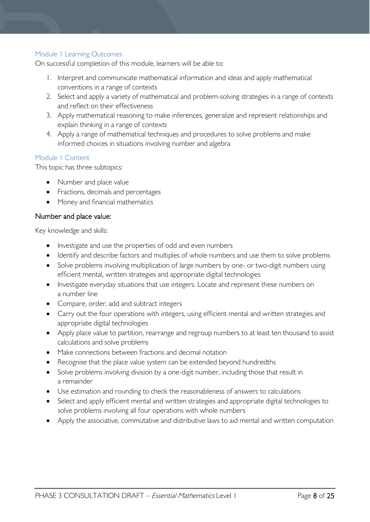#### <span id="page-7-0"></span>Module 1 Learning Outcomes

On successful completion of this module, learners will be able to:

- 1. Interpret and communicate mathematical information and ideas and apply mathematical conventions in a range of contexts
- 2. Select and apply a variety of mathematical and problem-solving strategies in a range of contexts and reflect on their effectiveness
- 3. Apply mathematical reasoning to make inferences, generalize and represent relationships and explain thinking in a range of contexts
- 4. Apply a range of mathematical techniques and procedures to solve problems and make informed choices in situations involving number and algebra

#### <span id="page-7-1"></span>Module 1 Content

This topic has three subtopics:

- Number and place value
- Fractions, decimals and percentages
- Money and financial mathematics

#### Number and place value:

Key knowledge and skills:

- Investigate and use the properties of odd and even numbers
- Identify and describe factors and multiples of whole numbers and use them to solve problems
- Solve problems involving multiplication of large numbers by one- or two-digit numbers using efficient mental, written strategies and appropriate digital technologies
- Investigate everyday situations that use integers. Locate and represent these numbers on a number line
- Compare, order, add and subtract integers
- Carry out the four operations with integers, using efficient mental and written strategies and appropriate digital technologies
- Apply place value to partition, rearrange and regroup numbers to at least ten thousand to assist calculations and solve problems
- Make connections between fractions and decimal notation
- Recognise that the place value system can be extended beyond hundredths
- Solve problems involving division by a one-digit number, including those that result in a remainder
- Use estimation and rounding to check the reasonableness of answers to calculations
- Select and apply efficient mental and written strategies and appropriate digital technologies to solve problems involving all four operations with whole numbers
- Apply the associative, commutative and distributive laws to aid mental and written computation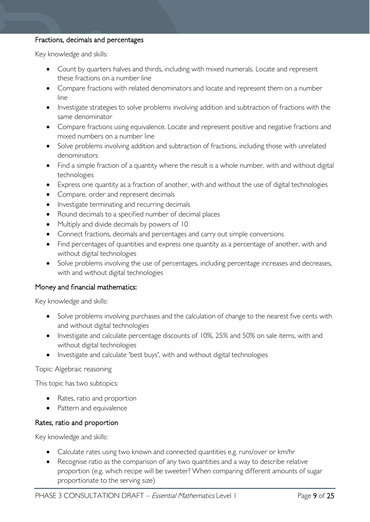#### Fractions, decimals and percentages

Key knowledge and skills:

- Count by quarters halves and thirds, including with mixed numerals. Locate and represent these fractions on a number line
- Compare fractions with related denominators and locate and represent them on a number line
- Investigate strategies to solve problems involving addition and subtraction of fractions with the same denominator
- Compare fractions using equivalence. Locate and represent positive and negative fractions and mixed numbers on a number line
- Solve problems involving addition and subtraction of fractions, including those with unrelated denominators
- Find a simple fraction of a quantity where the result is a whole number, with and without digital technologies
- Express one quantity as a fraction of another, with and without the use of digital technologies
- Compare, order and represent decimals
- Investigate terminating and recurring decimals
- Round decimals to a specified number of decimal places
- Multiply and divide decimals by powers of 10
- Connect fractions, decimals and percentages and carry out simple conversions
- Find percentages of quantities and express one quantity as a percentage of another, with and without digital technologies
- Solve problems involving the use of percentages, including percentage increases and decreases, with and without digital technologies

#### Money and financial mathematics:

Key knowledge and skills:

- Solve problems involving purchases and the calculation of change to the nearest five cents with and without digital technologies
- Investigate and calculate percentage discounts of 10%, 25% and 50% on sale items, with and without digital technologies
- Investigate and calculate 'best buys', with and without digital technologies

#### Topic: Algebraic reasoning

This topic has two subtopics:

- Rates, ratio and proportion
- Pattern and equivalence

#### Rates, ratio and proportion

Key knowledge and skills:

- Calculate rates using two known and connected quantities e.g. runs/over or km/hr
- Recognise ratio as the comparison of any two quantities and a way to describe relative proportion (e.g. which recipe will be sweeter? When comparing different amounts of sugar proportionate to the serving size)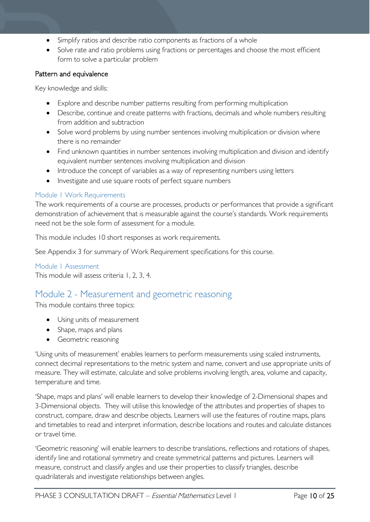- Simplify ratios and describe ratio components as fractions of a whole
- Solve rate and ratio problems using fractions or percentages and choose the most efficient form to solve a particular problem

#### Pattern and equivalence

Key knowledge and skills:

- Explore and describe number patterns resulting from performing multiplication
- Describe, continue and create patterns with fractions, decimals and whole numbers resulting from addition and subtraction
- Solve word problems by using number sentences involving multiplication or division where there is no remainder
- Find unknown quantities in number sentences involving multiplication and division and identify equivalent number sentences involving multiplication and division
- Introduce the concept of variables as a way of representing numbers using letters
- Investigate and use square roots of perfect square numbers

#### <span id="page-9-0"></span>Module 1 Work Requirements

The work requirements of a course are processes, products or performances that provide a significant demonstration of achievement that is measurable against the course's standards. Work requirements need not be the sole form of assessment for a module.

This module includes 10 short responses as work requirements.

See Appendix 3 for summary of Work Requirement specifications for this course.

#### <span id="page-9-1"></span>Module 1 Assessment

This module will assess criteria 1, 2, 3, 4.

### <span id="page-9-2"></span>Module 2 - Measurement and geometric reasoning

This module contains three topics:

- Using units of measurement
- Shape, maps and plans
- Geometric reasoning

'Using units of measurement' enables learners to perform measurements using scaled instruments, connect decimal representations to the metric system and name, convert and use appropriate units of measure. They will estimate, calculate and solve problems involving length, area, volume and capacity, temperature and time.

'Shape, maps and plans' will enable learners to develop their knowledge of 2-Dimensional shapes and 3-Dimensional objects. They will utilise this knowledge of the attributes and properties of shapes to construct, compare, draw and describe objects. Learners will use the features of routine maps, plans and timetables to read and interpret information, describe locations and routes and calculate distances or travel time.

'Geometric reasoning' will enable learners to describe translations, reflections and rotations of shapes, identify line and rotational symmetry and create symmetrical patterns and pictures. Learners will measure, construct and classify angles and use their properties to classify triangles, describe quadrilaterals and investigate relationships between angles.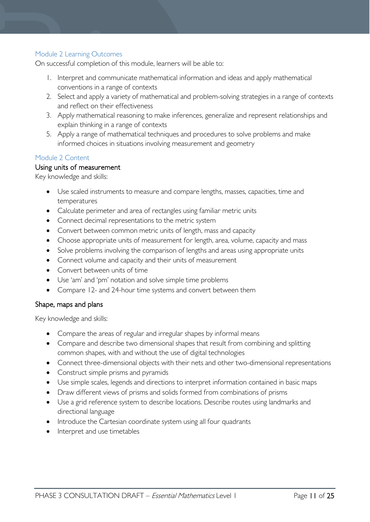#### <span id="page-10-0"></span>Module 2 Learning Outcomes

On successful completion of this module, learners will be able to:

- 1. Interpret and communicate mathematical information and ideas and apply mathematical conventions in a range of contexts
- 2. Select and apply a variety of mathematical and problem-solving strategies in a range of contexts and reflect on their effectiveness
- 3. Apply mathematical reasoning to make inferences, generalize and represent relationships and explain thinking in a range of contexts
- 5. Apply a range of mathematical techniques and procedures to solve problems and make informed choices in situations involving measurement and geometry

#### <span id="page-10-1"></span>Module 2 Content

#### Using units of measurement

Key knowledge and skills:

- Use scaled instruments to measure and compare lengths, masses, capacities, time and temperatures
- Calculate perimeter and area of rectangles using familiar metric units
- Connect decimal representations to the metric system
- Convert between common metric units of length, mass and capacity
- Choose appropriate units of measurement for length, area, volume, capacity and mass
- Solve problems involving the comparison of lengths and areas using appropriate units
- Connect volume and capacity and their units of measurement
- Convert between units of time
- Use 'am' and 'pm' notation and solve simple time problems
- Compare 12- and 24-hour time systems and convert between them

#### Shape, maps and plans

Key knowledge and skills:

- Compare the areas of regular and irregular shapes by informal means
- Compare and describe two dimensional shapes that result from combining and splitting common shapes, with and without the use of digital technologies
- Connect three-dimensional objects with their nets and other two-dimensional representations
- Construct simple prisms and pyramids
- Use simple scales, legends and directions to interpret information contained in basic maps
- Draw different views of prisms and solids formed from combinations of prisms
- Use a grid reference system to describe locations. Describe routes using landmarks and directional language
- Introduce the Cartesian coordinate system using all four quadrants
- Interpret and use timetables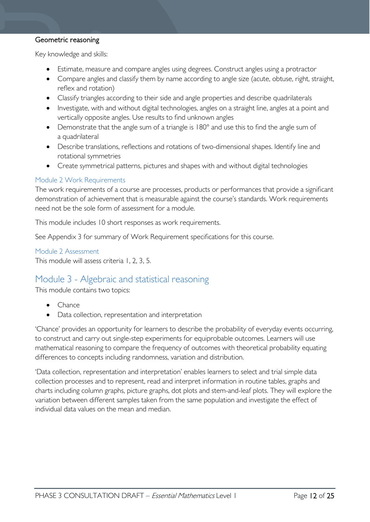#### Geometric reasoning

Key knowledge and skills:

- Estimate, measure and compare angles using degrees. Construct angles using a protractor
- Compare angles and classify them by name according to angle size (acute, obtuse, right, straight, reflex and rotation)
- Classify triangles according to their side and angle properties and describe quadrilaterals
- Investigate, with and without digital technologies, angles on a straight line, angles at a point and vertically opposite angles. Use results to find unknown angles
- Demonstrate that the angle sum of a triangle is 180° and use this to find the angle sum of a quadrilateral
- Describe translations, reflections and rotations of two-dimensional shapes. Identify line and rotational symmetries
- Create symmetrical patterns, pictures and shapes with and without digital technologies

#### <span id="page-11-0"></span>Module 2 Work Requirements

The work requirements of a course are processes, products or performances that provide a significant demonstration of achievement that is measurable against the course's standards. Work requirements need not be the sole form of assessment for a module.

This module includes 10 short responses as work requirements.

See Appendix 3 for summary of Work Requirement specifications for this course.

<span id="page-11-1"></span>Module 2 Assessment This module will assess criteria 1, 2, 3, 5.

### <span id="page-11-2"></span>Module 3 - Algebraic and statistical reasoning

This module contains two topics:

- Chance
- Data collection, representation and interpretation

'Chance' provides an opportunity for learners to describe the probability of everyday events occurring, to construct and carry out single-step experiments for equiprobable outcomes. Learners will use mathematical reasoning to compare the frequency of outcomes with theoretical probability equating differences to concepts including randomness, variation and distribution.

'Data collection, representation and interpretation' enables learners to select and trial simple data collection processes and to represent, read and interpret information in routine tables, graphs and charts including column graphs, picture graphs, dot plots and stem-and-leaf plots. They will explore the variation between different samples taken from the same population and investigate the effect of individual data values on the mean and median.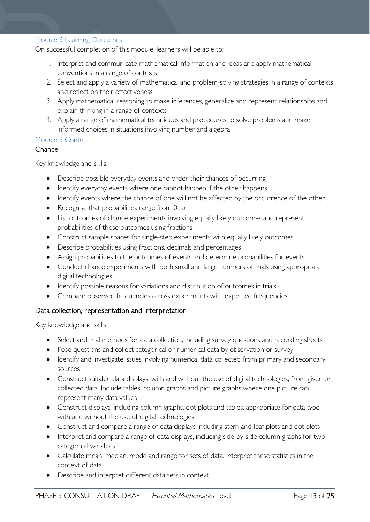#### <span id="page-12-0"></span>Module 3 Learning Outcomes

On successful completion of this module, learners will be able to:

- 1. Interpret and communicate mathematical information and ideas and apply mathematical conventions in a range of contexts
- 2. Select and apply a variety of mathematical and problem-solving strategies in a range of contexts and reflect on their effectiveness
- 3. Apply mathematical reasoning to make inferences, generalize and represent relationships and explain thinking in a range of contexts
- 4. Apply a range of mathematical techniques and procedures to solve problems and make informed choices in situations involving number and algebra

#### <span id="page-12-1"></span>Module 3 Content

#### Chance

Key knowledge and skills:

- Describe possible everyday events and order their chances of occurring
- Identify everyday events where one cannot happen if the other happens
- Identify events where the chance of one will not be affected by the occurrence of the other
- Recognise that probabilities range from 0 to 1
- List outcomes of chance experiments involving equally likely outcomes and represent probabilities of those outcomes using fractions
- Construct sample spaces for single-step experiments with equally likely outcomes
- Describe probabilities using fractions, decimals and percentages
- Assign probabilities to the outcomes of events and determine probabilities for events
- Conduct chance experiments with both small and large numbers of trials using appropriate digital technologies
- Identify possible reasons for variations and distribution of outcomes in trials
- Compare observed frequencies across experiments with expected frequencies

#### Data collection, representation and interpretation

Key knowledge and skills:

- Select and trial methods for data collection, including survey questions and recording sheets
- Pose questions and collect categorical or numerical data by observation or survey
- Identify and investigate issues involving numerical data collected from primary and secondary sources
- Construct suitable data displays, with and without the use of digital technologies, from given or collected data. Include tables, column graphs and picture graphs where one picture can represent many data values
- Construct displays, including column graphs, dot plots and tables, appropriate for data type, with and without the use of digital technologies
- Construct and compare a range of data displays including stem-and-leaf plots and dot plots
- Interpret and compare a range of data displays, including side-by-side column graphs for two categorical variables
- Calculate mean, median, mode and range for sets of data. Interpret these statistics in the context of data
- Describe and interpret different data sets in context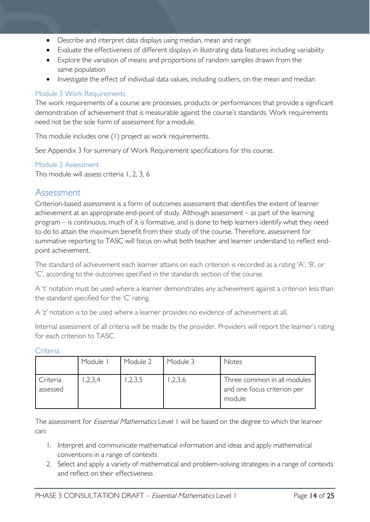- Describe and interpret data displays using median, mean and range
- Evaluate the effectiveness of different displays in illustrating data features including variability
- Explore the variation of means and proportions of random samples drawn from the same population
- Investigate the effect of individual data values, including outliers, on the mean and median

#### <span id="page-13-0"></span>Module 3 Work Requirements

The work requirements of a course are processes, products or performances that provide a significant demonstration of achievement that is measurable against the course's standards. Work requirements need not be the sole form of assessment for a module.

This module includes one (1) project as work requirements.

See Appendix 3 for summary of Work Requirement specifications for this course.

<span id="page-13-1"></span>Module 3 Assessment

This module will assess criteria 1, 2, 3, 6

### <span id="page-13-2"></span>Assessment

Criterion-based assessment is a form of outcomes assessment that identifies the extent of learner achievement at an appropriate end-point of study. Although assessment – as part of the learning program – is continuous, much of it is formative, and is done to help learners identify what they need to do to attain the maximum benefit from their study of the course. Therefore, assessment for summative reporting to TASC will focus on what both teacher and learner understand to reflect endpoint achievement.

The standard of achievement each learner attains on each criterion is recorded as a rating 'A', 'B', or 'C', according to the outcomes specified in the standards section of the course.

A 't' notation must be used where a learner demonstrates any achievement against a criterion less than the standard specified for the 'C' rating.

A 'z' notation is to be used where a learner provides no evidence of achievement at all.

Internal assessment of all criteria will be made by the provider. Providers will report the learner's rating for each criterion to TASC.

|                      | Module I | Module 2 | Module 3 | Notes                                                                |
|----------------------|----------|----------|----------|----------------------------------------------------------------------|
| Criteria<br>assessed | ,2,3,4   | ,2,3,5   | ,2,3,6   | Three common in all modules<br>and one focus criterion per<br>module |

<span id="page-13-3"></span>Criteria

The assessment for *Essential Mathematics* Level 1 will be based on the degree to which the learner can:

- 1. Interpret and communicate mathematical information and ideas and apply mathematical conventions in a range of contexts
- 2. Select and apply a variety of mathematical and problem-solving strategies in a range of contexts and reflect on their effectiveness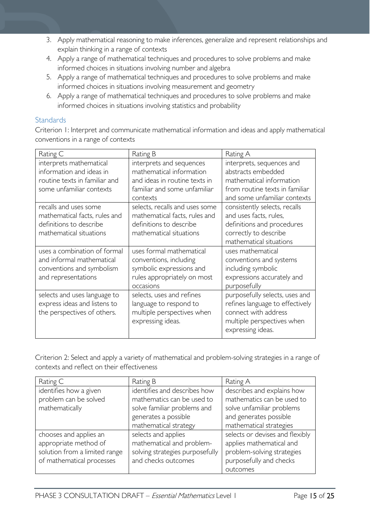- 3. Apply mathematical reasoning to make inferences, generalize and represent relationships and explain thinking in a range of contexts
- 4. Apply a range of mathematical techniques and procedures to solve problems and make informed choices in situations involving number and algebra
- 5. Apply a range of mathematical techniques and procedures to solve problems and make informed choices in situations involving measurement and geometry
- 6. Apply a range of mathematical techniques and procedures to solve problems and make informed choices in situations involving statistics and probability

#### <span id="page-14-0"></span>**Standards**

Criterion 1: Interpret and communicate mathematical information and ideas and apply mathematical conventions in a range of contexts

| Rating C                                                                                                         | Rating B                                                                                                                          | Rating A                                                                                                                                                                  |
|------------------------------------------------------------------------------------------------------------------|-----------------------------------------------------------------------------------------------------------------------------------|---------------------------------------------------------------------------------------------------------------------------------------------------------------------------|
| interprets mathematical<br>information and ideas in<br>routine texts in familiar and<br>some unfamiliar contexts | interprets and sequences<br>mathematical information<br>and ideas in routine texts in<br>familiar and some unfamiliar             | interprets, sequences and<br>abstracts embedded<br>mathematical information<br>from routine texts in familiar                                                             |
| recalls and uses some<br>mathematical facts, rules and<br>definitions to describe<br>mathematical situations     | contexts<br>selects, recalls and uses some<br>mathematical facts, rules and<br>definitions to describe<br>mathematical situations | and some unfamiliar contexts<br>consistently selects, recalls<br>and uses facts, rules,<br>definitions and procedures<br>correctly to describe<br>mathematical situations |
| uses a combination of formal<br>and informal mathematical<br>conventions and symbolism<br>and representations    | uses formal mathematical<br>conventions, including<br>symbolic expressions and<br>rules appropriately on most<br>occasions        | uses mathematical<br>conventions and systems<br>including symbolic<br>expressions accurately and<br>purposefully                                                          |
| selects and uses language to<br>express ideas and listens to<br>the perspectives of others.                      | selects, uses and refines<br>language to respond to<br>multiple perspectives when<br>expressing ideas.                            | purposefully selects, uses and<br>refines language to effectively<br>connect with address<br>multiple perspectives when<br>expressing ideas.                              |

Criterion 2: Select and apply a variety of mathematical and problem-solving strategies in a range of contexts and reflect on their effectiveness

| Rating C                      | Rating B                        | Rating A                        |
|-------------------------------|---------------------------------|---------------------------------|
| identifies how a given        | identifies and describes how    | describes and explains how      |
| problem can be solved         | mathematics can be used to      | mathematics can be used to      |
| mathematically                | solve familiar problems and     | solve unfamiliar problems       |
|                               | generates a possible            | and generates possible          |
|                               | mathematical strategy           | mathematical strategies         |
| chooses and applies an        | selects and applies             | selects or devises and flexibly |
| appropriate method of         | mathematical and problem-       | applies mathematical and        |
| solution from a limited range | solving strategies purposefully | problem-solving strategies      |
| of mathematical processes     | and checks outcomes             | purposefully and checks         |
|                               |                                 | outcomes                        |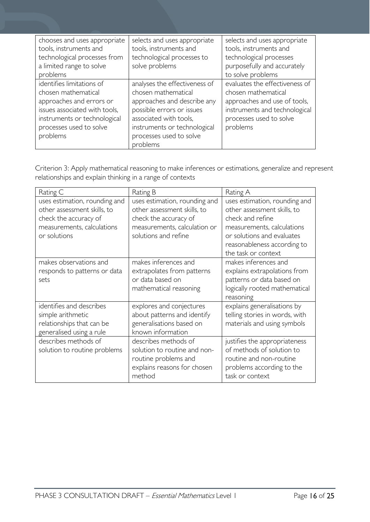| chooses and uses appropriate  | selects and uses appropriate  | selects and uses appropriate   |
|-------------------------------|-------------------------------|--------------------------------|
| tools, instruments and        | tools, instruments and        | tools, instruments and         |
| technological processes from  | technological processes to    | technological processes        |
| a limited range to solve      | solve problems                | purposefully and accurately    |
| problems                      |                               | to solve problems              |
| identifies limitations of     | analyses the effectiveness of | evaluates the effectiveness of |
| chosen mathematical           | chosen mathematical           | chosen mathematical            |
| approaches and errors or      | approaches and describe any   | approaches and use of tools,   |
| issues associated with tools, | possible errors or issues     | instruments and technological  |
| instruments or technological  | associated with tools,        | processes used to solve        |
| processes used to solve       | instruments or technological  | problems                       |
| problems                      | processes used to solve       |                                |
|                               | problems                      |                                |

Criterion 3: Apply mathematical reasoning to make inferences or estimations, generalize and represent relationships and explain thinking in a range of contexts

| Rating C                                                                                                                            | Rating B                                                                                                                                      | Rating A                                                                                                                                                                                           |
|-------------------------------------------------------------------------------------------------------------------------------------|-----------------------------------------------------------------------------------------------------------------------------------------------|----------------------------------------------------------------------------------------------------------------------------------------------------------------------------------------------------|
| uses estimation, rounding and<br>other assessment skills, to<br>check the accuracy of<br>measurements, calculations<br>or solutions | uses estimation, rounding and<br>other assessment skills, to<br>check the accuracy of<br>measurements, calculation or<br>solutions and refine | uses estimation, rounding and<br>other assessment skills, to<br>check and refine<br>measurements, calculations<br>or solutions and evaluates<br>reasonableness according to<br>the task or context |
| makes observations and<br>responds to patterns or data<br>sets                                                                      | makes inferences and<br>extrapolates from patterns<br>or data based on<br>mathematical reasoning                                              | makes inferences and<br>explains extrapolations from<br>patterns or data based on<br>logically rooted mathematical<br>reasoning                                                                    |
| identifies and describes<br>simple arithmetic<br>relationships that can be<br>generalised using a rule                              | explores and conjectures<br>about patterns and identify<br>generalisations based on<br>known information                                      | explains generalisations by<br>telling stories in words, with<br>materials and using symbols                                                                                                       |
| describes methods of<br>solution to routine problems                                                                                | describes methods of<br>solution to routine and non-<br>routine problems and<br>explains reasons for chosen<br>method                         | justifies the appropriateness<br>of methods of solution to<br>routine and non-routine<br>problems according to the<br>task or context                                                              |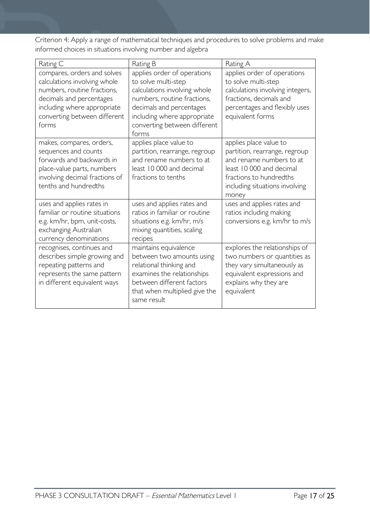Criterion 4: Apply a range of mathematical techniques and procedures to solve problems and make informed choices in situations involving number and algebra

| Rating C                                                                                                                                                                                       | Rating B                                                                                                                                                                                                              | Rating A                                                                                                                                                                              |
|------------------------------------------------------------------------------------------------------------------------------------------------------------------------------------------------|-----------------------------------------------------------------------------------------------------------------------------------------------------------------------------------------------------------------------|---------------------------------------------------------------------------------------------------------------------------------------------------------------------------------------|
| compares, orders and solves<br>calculations involving whole<br>numbers, routine fractions,<br>decimals and percentages<br>including where appropriate<br>converting between different<br>forms | applies order of operations<br>to solve multi-step<br>calculations involving whole<br>numbers, routine fractions,<br>decimals and percentages<br>including where appropriate<br>converting between different<br>forms | applies order of operations<br>to solve multi-step<br>calculations involving integers,<br>fractions, decimals and<br>percentages and flexibly uses<br>equivalent forms                |
| makes, compares, orders,<br>sequences and counts<br>forwards and backwards in<br>place-value parts, numbers<br>involving decimal fractions of<br>tenths and hundredths                         | applies place value to<br>partition, rearrange, regroup<br>and rename numbers to at<br>least 10 000 and decimal<br>fractions to tenths                                                                                | applies place value to<br>partition, rearrange, regroup<br>and rename numbers to at<br>least 10 000 and decimal<br>fractions to hundredths<br>including situations involving<br>money |
| uses and applies rates in<br>familiar or routine situations<br>e.g. km/hr, bpm, unit-costs,<br>exchanging Australian<br>currency denominations                                                 | uses and applies rates and<br>ratios in familiar or routine<br>situations e.g. km/hr, m/s<br>mixing quantities, scaling<br>recipes                                                                                    | uses and applies rates and<br>ratios including making<br>conversions e.g. km/hr to m/s                                                                                                |
| recognises, continues and<br>describes simple growing and<br>repeating patterns and<br>represents the same pattern<br>in different equivalent ways                                             | maintains equivalence<br>between two amounts using<br>relational thinking and<br>examines the relationships<br>between different factors<br>that when multiplied give the<br>same result                              | explores the relationships of<br>two numbers or quantities as<br>they vary simultaneously as<br>equivalent expressions and<br>explains why they are<br>equivalent                     |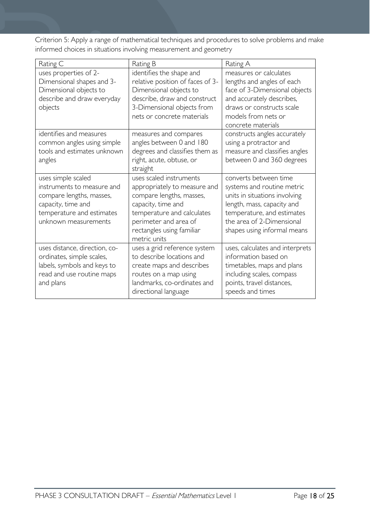Criterion 5: Apply a range of mathematical techniques and procedures to solve problems and make informed choices in situations involving measurement and geometry

| Rating C                                                                                                                                                | Rating B                                                                                                                                                                                                      | Rating A                                                                                                                                                                                                     |
|---------------------------------------------------------------------------------------------------------------------------------------------------------|---------------------------------------------------------------------------------------------------------------------------------------------------------------------------------------------------------------|--------------------------------------------------------------------------------------------------------------------------------------------------------------------------------------------------------------|
| uses properties of 2-<br>Dimensional shapes and 3-<br>Dimensional objects to<br>describe and draw everyday<br>objects                                   | identifies the shape and<br>relative position of faces of 3-<br>Dimensional objects to<br>describe, draw and construct<br>3-Dimensional objects from<br>nets or concrete materials                            | measures or calculates<br>lengths and angles of each<br>face of 3-Dimensional objects<br>and accurately describes,<br>draws or constructs scale<br>models from nets or<br>concrete materials                 |
| identifies and measures<br>common angles using simple<br>tools and estimates unknown<br>angles                                                          | measures and compares<br>angles between 0 and 180<br>degrees and classifies them as<br>right, acute, obtuse, or<br>straight                                                                                   | constructs angles accurately<br>using a protractor and<br>measure and classifies angles<br>between 0 and 360 degrees                                                                                         |
| uses simple scaled<br>instruments to measure and<br>compare lengths, masses,<br>capacity, time and<br>temperature and estimates<br>unknown measurements | uses scaled instruments<br>appropriately to measure and<br>compare lengths, masses,<br>capacity, time and<br>temperature and calculates<br>perimeter and area of<br>rectangles using familiar<br>metric units | converts between time<br>systems and routine metric<br>units in situations involving<br>length, mass, capacity and<br>temperature, and estimates<br>the area of 2-Dimensional<br>shapes using informal means |
| uses distance, direction, co-<br>ordinates, simple scales,<br>labels, symbols and keys to<br>read and use routine maps<br>and plans                     | uses a grid reference system<br>to describe locations and<br>create maps and describes<br>routes on a map using<br>landmarks, co-ordinates and<br>directional language                                        | uses, calculates and interprets<br>information based on<br>timetables, maps and plans<br>including scales, compass<br>points, travel distances,<br>speeds and times                                          |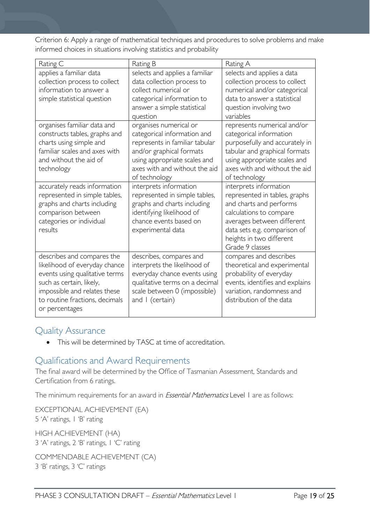Criterion 6: Apply a range of mathematical techniques and procedures to solve problems and make informed choices in situations involving statistics and probability

| Rating C                                                                                                                                                                                                      | Rating B                                                                                                                                                                                              | Rating A                                                                                                                                                                                                                   |
|---------------------------------------------------------------------------------------------------------------------------------------------------------------------------------------------------------------|-------------------------------------------------------------------------------------------------------------------------------------------------------------------------------------------------------|----------------------------------------------------------------------------------------------------------------------------------------------------------------------------------------------------------------------------|
| applies a familiar data<br>collection process to collect<br>information to answer a<br>simple statistical question                                                                                            | selects and applies a familiar<br>data collection process to<br>collect numerical or<br>categorical information to<br>answer a simple statistical<br>question                                         | selects and applies a data<br>collection process to collect<br>numerical and/or categorical<br>data to answer a statistical<br>question involving two<br>variables                                                         |
| organises familiar data and<br>constructs tables, graphs and<br>charts using simple and<br>familiar scales and axes with<br>and without the aid of<br>technology                                              | organises numerical or<br>categorical information and<br>represents in familiar tabular<br>and/or graphical formats<br>using appropriate scales and<br>axes with and without the aid<br>of technology | represents numerical and/or<br>categorical information<br>purposefully and accurately in<br>tabular and graphical formats<br>using appropriate scales and<br>axes with and without the aid<br>of technology                |
| accurately reads information<br>represented in simple tables,<br>graphs and charts including<br>comparison between<br>categories or individual<br>results                                                     | interprets information<br>represented in simple tables,<br>graphs and charts including<br>identifying likelihood of<br>chance events based on<br>experimental data                                    | interprets information<br>represented in tables, graphs<br>and charts and performs<br>calculations to compare<br>averages between different<br>data sets e.g. comparison of<br>heights in two different<br>Grade 9 classes |
| describes and compares the<br>likelihood of everyday chance<br>events using qualitative terms<br>such as certain, likely,<br>impossible and relates these<br>to routine fractions, decimals<br>or percentages | describes, compares and<br>interprets the likelihood of<br>everyday chance events using<br>qualitative terms on a decimal<br>scale between 0 (impossible)<br>and I (certain)                          | compares and describes<br>theoretical and experimental<br>probability of everyday<br>events, identifies and explains<br>variation, randomness and<br>distribution of the data                                              |

### <span id="page-18-0"></span>Quality Assurance

• This will be determined by TASC at time of accreditation.

### <span id="page-18-1"></span>Qualifications and Award Requirements

The final award will be determined by the Office of Tasmanian Assessment, Standards and Certification from 6 ratings.

The minimum requirements for an award in *Essential Mathematics* Level 1 are as follows:

EXCEPTIONAL ACHIEVEMENT (EA) 5 'A' ratings, 1 'B' rating

HIGH ACHIEVEMENT (HA) 3 'A' ratings, 2 'B' ratings, 1 'C' rating

COMMENDABLE ACHIEVEMENT (CA) 3 'B' ratings, 3 'C' ratings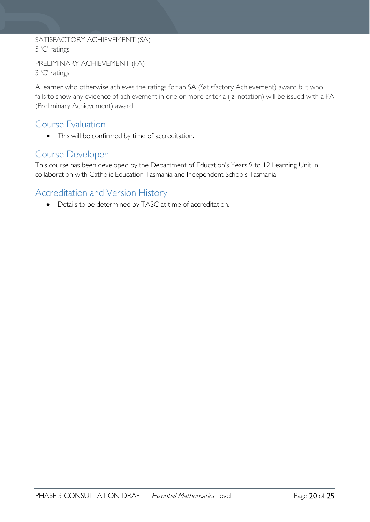### SATISFACTORY ACHIEVEMENT (SA) 5 'C' ratings

```
PRELIMINARY ACHIEVEMENT (PA)
3 'C' ratings
```
A learner who otherwise achieves the ratings for an SA (Satisfactory Achievement) award but who fails to show any evidence of achievement in one or more criteria ('z' notation) will be issued with a PA (Preliminary Achievement) award.

### <span id="page-19-0"></span>Course Evaluation

• This will be confirmed by time of accreditation.

### <span id="page-19-1"></span>Course Developer

This course has been developed by the Department of Education's Years 9 to 12 Learning Unit in collaboration with Catholic Education Tasmania and Independent Schools Tasmania.

## <span id="page-19-2"></span>Accreditation and Version History

• Details to be determined by TASC at time of accreditation.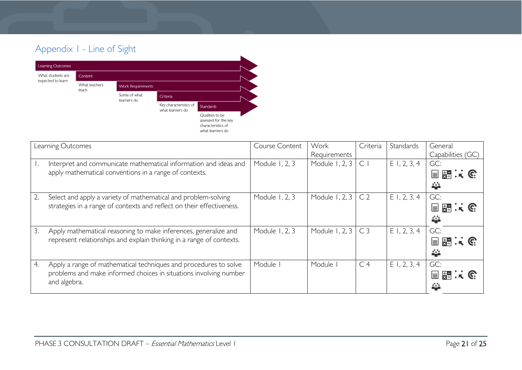# Appendix 1 - Line of Sight



<span id="page-20-0"></span>

|    | Learning Outcomes                                                                                                                                     | Course Content | Work<br>Requirements | Criteria       | Standards      | General<br>Capabilities (GC) |
|----|-------------------------------------------------------------------------------------------------------------------------------------------------------|----------------|----------------------|----------------|----------------|------------------------------|
|    | Interpret and communicate mathematical information and ideas and<br>apply mathematical conventions in a range of contexts.                            | Module 1, 2, 3 | Module 1, 2, 3       | $\subset$      | $E$ 1, 2, 3, 4 | GC:<br>目題:に<br>44            |
|    | Select and apply a variety of mathematical and problem-solving<br>strategies in a range of contexts and reflect on their effectiveness.               | Module 1, 2, 3 | Module 1, 2, 3       | C <sub>2</sub> | E1, 2, 3, 4    | GC:<br>目闘スで<br>44            |
| 3. | Apply mathematical reasoning to make inferences, generalize and<br>represent relationships and explain thinking in a range of contexts.               | Module 1, 2, 3 | Module 1, 2, 3       | C <sub>3</sub> | E1, 2, 3, 4    | GC:<br>国盟に民<br>44            |
| 4. | Apply a range of mathematical techniques and procedures to solve<br>problems and make informed choices in situations involving number<br>and algebra. | Module I       | Module I             | C <sub>4</sub> | $E$ I, 2, 3, 4 | GC:<br>目開:6                  |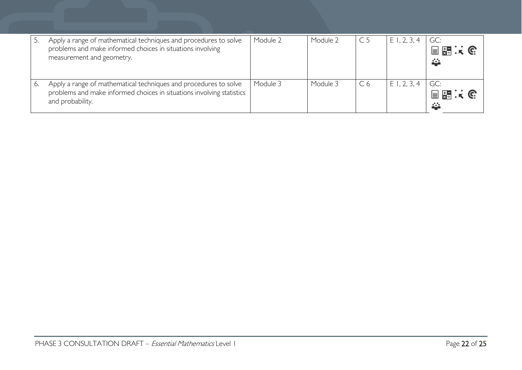| Apply a range of mathematical techniques and procedures to solve<br>problems and make informed choices in situations involving<br>measurement and geometry.   | Module 2 | Module 2 | C <sub>5</sub> | $E$ 1, 2, 3, 4 | GC:<br>目題:「<br>挙  |
|---------------------------------------------------------------------------------------------------------------------------------------------------------------|----------|----------|----------------|----------------|-------------------|
| Apply a range of mathematical techniques and procedures to solve<br>problems and make informed choices in situations involving statistics<br>and probability. | Module 3 | Module 3 | C <sub>6</sub> | E1, 2, 3, 4    | GC:<br>目題:「<br>а. |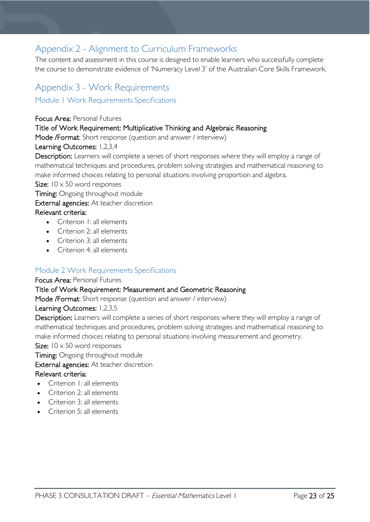# <span id="page-22-0"></span>Appendix 2 - Alignment to Curriculum Frameworks

The content and assessment in this course is designed to enable learners who successfully complete the course to demonstrate evidence of 'Numeracy Level 3' of the Australian Core Skills Framework.

# <span id="page-22-1"></span>Appendix 3 - Work Requirements

<span id="page-22-2"></span>Module 1 Work Requirements Specifications

Focus Area: Personal Futures

#### Title of Work Requirement: Multiplicative Thinking and Algebraic Reasoning

Mode /Format: Short response (question and answer / interview)

#### Learning Outcomes: 1,2,3,4

Description: Learners will complete a series of short responses where they will employ a range of mathematical techniques and procedures, problem solving strategies and mathematical reasoning to make informed choices relating to personal situations involving proportion and algebra.

#### Size:  $10 \times 50$  word responses

**Timing:** Ongoing throughout module

External agencies: At teacher discretion

#### Relevant criteria:

- Criterion I<sup>I</sup> all elements
- Criterion 2: all elements
- Criterion 3: all elements
- Criterion 4: all elements

#### <span id="page-22-3"></span>Module 2 Work Requirements Specifications

#### Focus Area: Personal Futures

#### Title of Work Requirement: Measurement and Geometric Reasoning

Mode /Format: Short response (question and answer / interview)

#### Learning Outcomes: 1,2,3,5

Description: Learners will complete a series of short responses where they will employ a range of mathematical techniques and procedures, problem solving strategies and mathematical reasoning to make informed choices relating to personal situations involving measurement and geometry.

#### Size:  $10 \times 50$  word responses

Timing: Ongoing throughout module

External agencies: At teacher discretion

#### Relevant criteria:

- Criterion 1: all elements
- Criterion 2: all elements
- Criterion 3: all elements
- Criterion 5: all elements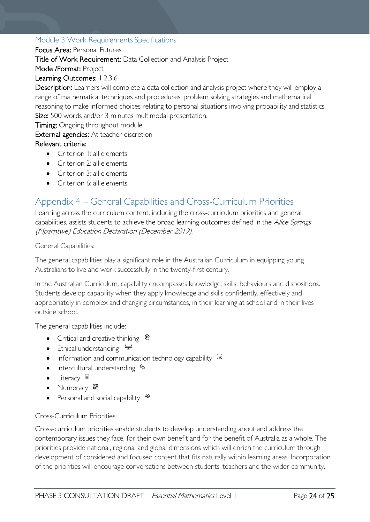#### <span id="page-23-0"></span>Module 3 Work Requirements Specifications

#### Focus Area: Personal Futures

Title of Work Requirement: Data Collection and Analysis Project

Mode /Format: Project

#### Learning Outcomes: 1,2,3,6

Description: Learners will complete a data collection and analysis project where they will employ a range of mathematical techniques and procedures, problem solving strategies and mathematical reasoning to make informed choices relating to personal situations involving probability and statistics. Size: 500 words and/or 3 minutes multimodal presentation.

Timing: Ongoing throughout module

#### External agencies: At teacher discretion

#### Relevant criteria:

- Criterion 1: all elements
- Criterion 2: all elements
- Criterion 3: all elements
- Criterion 6: all elements

# <span id="page-23-1"></span>Appendix 4 – General Capabilities and Cross-Curriculum Priorities

Learning across the curriculum content, including the cross-curriculum priorities and general capabilities, assists students to achieve the broad learning outcomes defined in the Alice Springs (Mparntwe) Education Declaration (December 2019).

General Capabilities:

The general capabilities play a significant role in the Australian Curriculum in equipping young Australians to live and work successfully in the twenty-first century.

In the Australian Curriculum, capability encompasses knowledge, skills, behaviours and dispositions. Students develop capability when they apply knowledge and skills confidently, effectively and appropriately in complex and changing circumstances, in their learning at school and in their lives outside school.

The general capabilities include:

- Critical and creative thinking  $\mathbb{C}$
- Ethical understanding  $\div$
- Information and communication technology capability  $\ddot{\cdot}$
- Intercultural understanding •
- Literacy
- Numeracy
- Personal and social capability  $\triangleq$

#### Cross-Curriculum Priorities:

Cross-curriculum priorities enable students to develop understanding about and address the contemporary issues they face, for their own benefit and for the benefit of Australia as a whole. The priorities provide national, regional and global dimensions which will enrich the curriculum through development of considered and focused content that fits naturally within learning areas. Incorporation of the priorities will encourage conversations between students, teachers and the wider community.